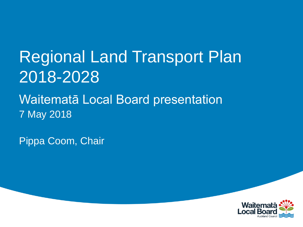# Regional Land Transport Plan 2018-2028

#### Waitematā Local Board presentation 7 May 2018

Pippa Coom, Chair

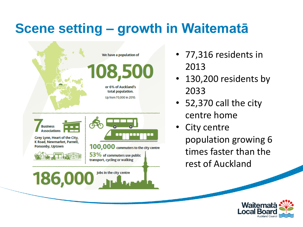## **Scene setting – growth in Waitematā**



- 77,316 residents in 2013
- 130,200 residents by 2033
- 52,370 call the city centre home
- **City centre** population growing 6 times faster than the rest of Auckland

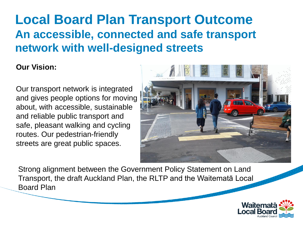#### **Local Board Plan Transport Outcome An accessible, connected and safe transport network with well-designed streets**

#### **Our Vision:**

Our transport network is integrated and gives people options for moving about, with accessible, sustainable and reliable public transport and safe, pleasant walking and cycling routes. Our pedestrian-friendly streets are great public spaces.



Strong alignment between the Government Policy Statement on Land Transport, the draft Auckland Plan, the RLTP and the Waitematā Local Board Plan

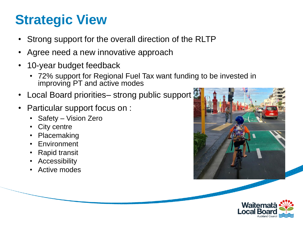### **Strategic View**

- Strong support for the overall direction of the RLTP
- Agree need a new innovative approach
- 10-year budget feedback
	- 72% support for Regional Fuel Tax want funding to be invested in improving PT and active modes
- Local Board priorities– strong public support
- Particular support focus on :
	- Safety Vision Zero
	- City centre
	- Placemaking
	- **Environment**
	- Rapid transit
	- Accessibility
	- Active modes



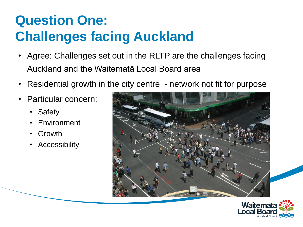### **Question One: Challenges facing Auckland**

- Agree: Challenges set out in the RLTP are the challenges facing Auckland and the Waitematā Local Board area
- Residential growth in the city centre network not fit for purpose
- Particular concern:
	- Safety
	- **Environment**
	- Growth
	- Accessibility



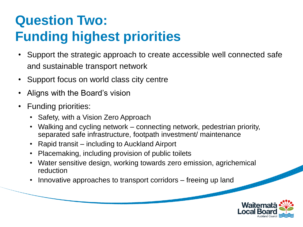## **Question Two: Funding highest priorities**

- Support the strategic approach to create accessible well connected safe and sustainable transport network
- Support focus on world class city centre
- Aligns with the Board's vision
- Funding priorities:
	- Safety, with a Vision Zero Approach
	- Walking and cycling network connecting network, pedestrian priority, separated safe infrastructure, footpath investment/ maintenance
	- Rapid transit including to Auckland Airport
	- Placemaking, including provision of public toilets
	- Water sensitive design, working towards zero emission, agrichemical reduction
	- Innovative approaches to transport corridors freeing up land

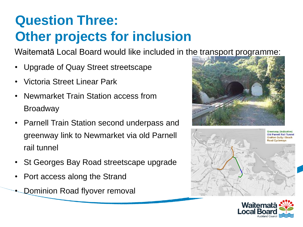## **Question Three: Other projects for inclusion**

Waitematā Local Board would like included in the transport programme:

- Upgrade of Quay Street streetscape
- Victoria Street Linear Park
- Newmarket Train Station access from Broadway
- Parnell Train Station second underpass and greenway link to Newmarket via old Parnell rail tunnel
- St Georges Bay Road streetscape upgrade
- Port access along the Strand
- Dominion Road flyover removal